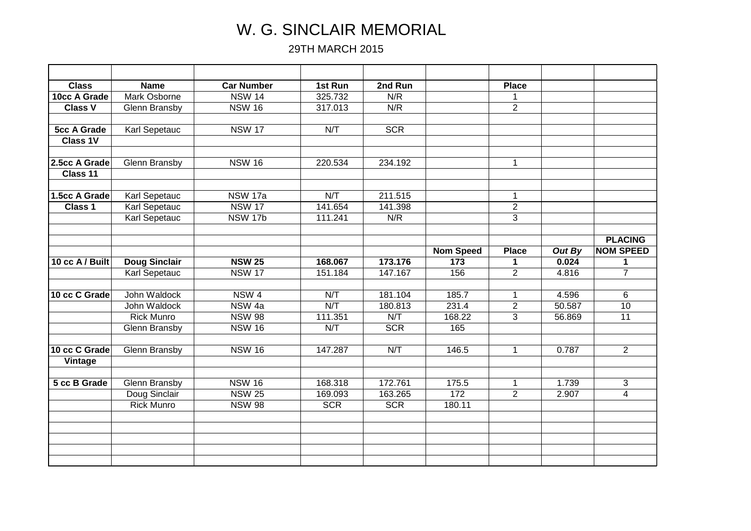## W. G. SINCLAIR MEMORIAL

29TH MARCH 2015

| <b>Class</b>       | <b>Name</b>          | <b>Car Number</b> | 1st Run    | 2nd Run    |                  | <b>Place</b>         |        |                  |
|--------------------|----------------------|-------------------|------------|------------|------------------|----------------------|--------|------------------|
| 10cc A Grade       | <b>Mark Osborne</b>  | <b>NSW 14</b>     | 325.732    | N/R        |                  | 1                    |        |                  |
| <b>Class V</b>     | Glenn Bransby        | <b>NSW 16</b>     | 317.013    | N/R        |                  | $\overline{2}$       |        |                  |
|                    |                      |                   |            |            |                  |                      |        |                  |
| <b>5cc A Grade</b> | <b>Karl Sepetauc</b> | <b>NSW 17</b>     | N/T        | SCR        |                  |                      |        |                  |
| Class 1V           |                      |                   |            |            |                  |                      |        |                  |
|                    |                      |                   |            |            |                  |                      |        |                  |
| 2.5cc A Grade      | <b>Glenn Bransby</b> | <b>NSW 16</b>     | 220.534    | 234.192    |                  | $\mathbf{1}$         |        |                  |
| Class 11           |                      |                   |            |            |                  |                      |        |                  |
| 1.5cc A Grade      | Karl Sepetauc        | <b>NSW 17a</b>    | N/T        | 211.515    |                  | $\mathbf{1}$         |        |                  |
| Class 1            | Karl Sepetauc        | <b>NSW 17</b>     | 141.654    | 141.398    |                  | $\overline{2}$       |        |                  |
|                    | Karl Sepetauc        | <b>NSW 17b</b>    | 111.241    | N/R        |                  | 3                    |        |                  |
|                    |                      |                   |            |            |                  |                      |        |                  |
|                    |                      |                   |            |            |                  |                      |        | <b>PLACING</b>   |
|                    |                      |                   |            |            | <b>Nom Speed</b> | <b>Place</b>         | Out By | <b>NOM SPEED</b> |
| 10 cc A / Built    | <b>Doug Sinclair</b> | <b>NSW 25</b>     | 168.067    | 173.176    | 173              | $\blacktriangleleft$ | 0.024  | $\mathbf 1$      |
|                    | Karl Sepetauc        | <b>NSW 17</b>     | 151.184    | 147.167    | 156              | $\overline{2}$       | 4.816  | $\overline{7}$   |
|                    |                      |                   |            |            |                  |                      |        |                  |
| 10 cc C Grade      | John Waldock         | NSW <sub>4</sub>  | N/T        | 181.104    | 185.7            | $\mathbf{1}$         | 4.596  | 6                |
|                    | John Waldock         | NSW <sub>4a</sub> | N/T        | 180.813    | 231.4            | $\overline{2}$       | 50.587 | 10               |
|                    | <b>Rick Munro</b>    | <b>NSW 98</b>     | 111.351    | N/T        | 168.22           | 3                    | 56.869 | 11               |
|                    | Glenn Bransby        | <b>NSW 16</b>     | N/T        | <b>SCR</b> | 165              |                      |        |                  |
| 10 cc C Grade      | <b>Glenn Bransby</b> | <b>NSW 16</b>     | 147.287    | N/T        | 146.5            | $\mathbf{1}$         | 0.787  | $\overline{2}$   |
| Vintage            |                      |                   |            |            |                  |                      |        |                  |
|                    |                      |                   |            |            |                  |                      |        |                  |
| 5 cc B Grade       | Glenn Bransby        | <b>NSW 16</b>     | 168.318    | 172.761    | 175.5            | $\mathbf{1}$         | 1.739  | 3                |
|                    | Doug Sinclair        | <b>NSW 25</b>     | 169.093    | 163.265    | 172              | $\overline{2}$       | 2.907  | $\overline{4}$   |
|                    | <b>Rick Munro</b>    | <b>NSW 98</b>     | <b>SCR</b> | <b>SCR</b> | 180.11           |                      |        |                  |
|                    |                      |                   |            |            |                  |                      |        |                  |
|                    |                      |                   |            |            |                  |                      |        |                  |
|                    |                      |                   |            |            |                  |                      |        |                  |
|                    |                      |                   |            |            |                  |                      |        |                  |
|                    |                      |                   |            |            |                  |                      |        |                  |